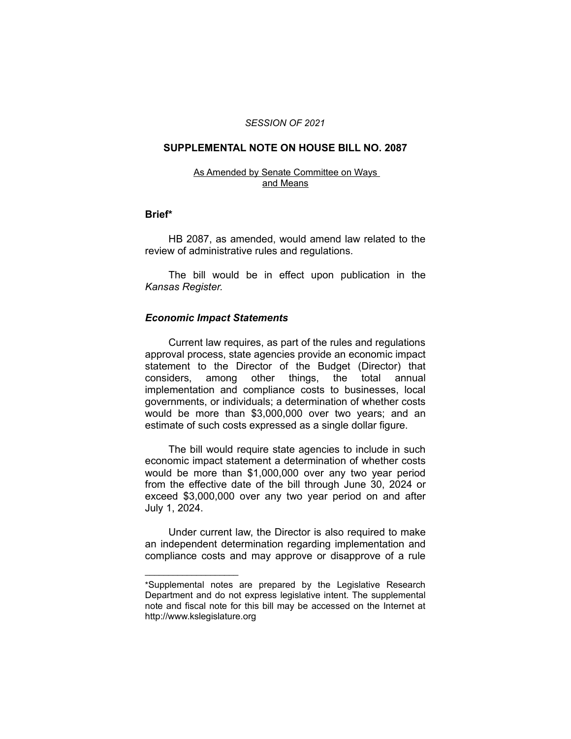#### *SESSION OF 2021*

### **SUPPLEMENTAL NOTE ON HOUSE BILL NO. 2087**

#### As Amended by Senate Committee on Ways and Means

### **Brief\***

HB 2087, as amended, would amend law related to the review of administrative rules and regulations.

The bill would be in effect upon publication in the *Kansas Register.*

## *Economic Impact Statements*

 $\overline{\phantom{a}}$  , where  $\overline{\phantom{a}}$  , where  $\overline{\phantom{a}}$ 

Current law requires, as part of the rules and regulations approval process, state agencies provide an economic impact statement to the Director of the Budget (Director) that considers, among other things, the total annual implementation and compliance costs to businesses, local governments, or individuals; a determination of whether costs would be more than \$3,000,000 over two years; and an estimate of such costs expressed as a single dollar figure.

The bill would require state agencies to include in such economic impact statement a determination of whether costs would be more than \$1,000,000 over any two year period from the effective date of the bill through June 30, 2024 or exceed \$3,000,000 over any two year period on and after July 1, 2024.

Under current law, the Director is also required to make an independent determination regarding implementation and compliance costs and may approve or disapprove of a rule

<sup>\*</sup>Supplemental notes are prepared by the Legislative Research Department and do not express legislative intent. The supplemental note and fiscal note for this bill may be accessed on the Internet at http://www.kslegislature.org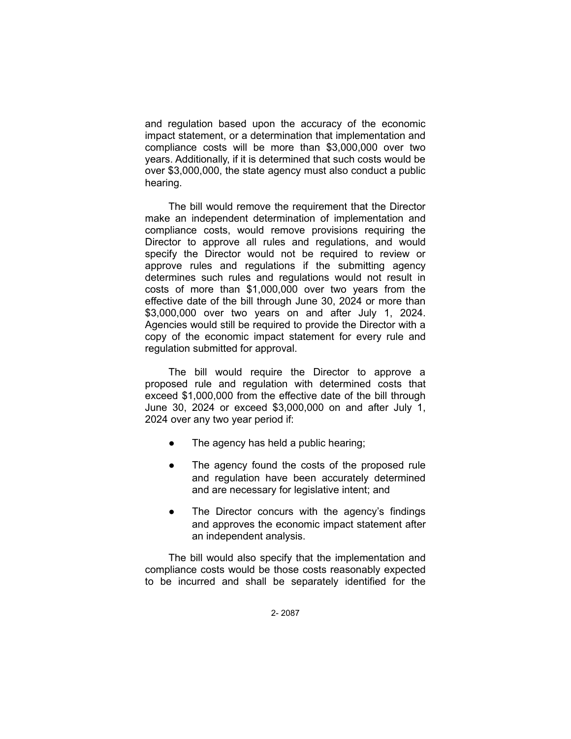and regulation based upon the accuracy of the economic impact statement, or a determination that implementation and compliance costs will be more than \$3,000,000 over two years. Additionally, if it is determined that such costs would be over \$3,000,000, the state agency must also conduct a public hearing.

The bill would remove the requirement that the Director make an independent determination of implementation and compliance costs, would remove provisions requiring the Director to approve all rules and regulations, and would specify the Director would not be required to review or approve rules and regulations if the submitting agency determines such rules and regulations would not result in costs of more than \$1,000,000 over two years from the effective date of the bill through June 30, 2024 or more than \$3,000,000 over two years on and after July 1, 2024. Agencies would still be required to provide the Director with a copy of the economic impact statement for every rule and regulation submitted for approval.

The bill would require the Director to approve a proposed rule and regulation with determined costs that exceed \$1,000,000 from the effective date of the bill through June 30, 2024 or exceed \$3,000,000 on and after July 1, 2024 over any two year period if:

- The agency has held a public hearing;
- The agency found the costs of the proposed rule and regulation have been accurately determined and are necessary for legislative intent; and
- The Director concurs with the agency's findings and approves the economic impact statement after an independent analysis.

The bill would also specify that the implementation and compliance costs would be those costs reasonably expected to be incurred and shall be separately identified for the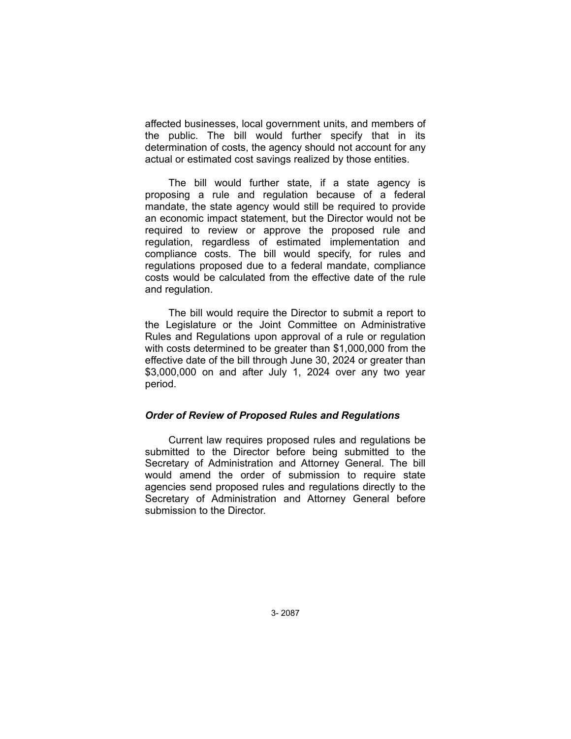affected businesses, local government units, and members of the public. The bill would further specify that in its determination of costs, the agency should not account for any actual or estimated cost savings realized by those entities.

The bill would further state, if a state agency is proposing a rule and regulation because of a federal mandate, the state agency would still be required to provide an economic impact statement, but the Director would not be required to review or approve the proposed rule and regulation, regardless of estimated implementation and compliance costs. The bill would specify, for rules and regulations proposed due to a federal mandate, compliance costs would be calculated from the effective date of the rule and regulation.

The bill would require the Director to submit a report to the Legislature or the Joint Committee on Administrative Rules and Regulations upon approval of a rule or regulation with costs determined to be greater than \$1,000,000 from the effective date of the bill through June 30, 2024 or greater than \$3,000,000 on and after July 1, 2024 over any two year period.

## *Order of Review of Proposed Rules and Regulations*

Current law requires proposed rules and regulations be submitted to the Director before being submitted to the Secretary of Administration and Attorney General. The bill would amend the order of submission to require state agencies send proposed rules and regulations directly to the Secretary of Administration and Attorney General before submission to the Director.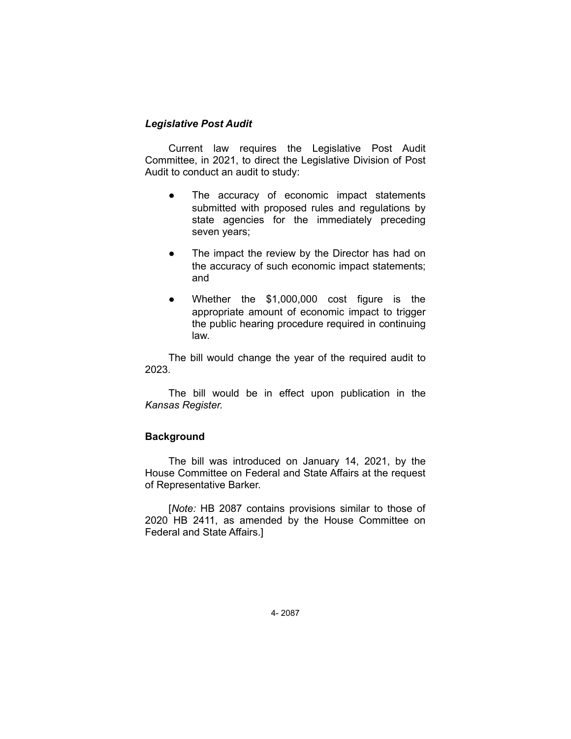# *Legislative Post Audit*

Current law requires the Legislative Post Audit Committee, in 2021, to direct the Legislative Division of Post Audit to conduct an audit to study:

- The accuracy of economic impact statements submitted with proposed rules and regulations by state agencies for the immediately preceding seven years;
- The impact the review by the Director has had on the accuracy of such economic impact statements; and
- Whether the \$1,000,000 cost figure is the appropriate amount of economic impact to trigger the public hearing procedure required in continuing law.

The bill would change the year of the required audit to 2023.

The bill would be in effect upon publication in the *Kansas Register.*

## **Background**

The bill was introduced on January 14, 2021, by the House Committee on Federal and State Affairs at the request of Representative Barker.

[*Note:* HB 2087 contains provisions similar to those of 2020 HB 2411, as amended by the House Committee on Federal and State Affairs.]

4- 2087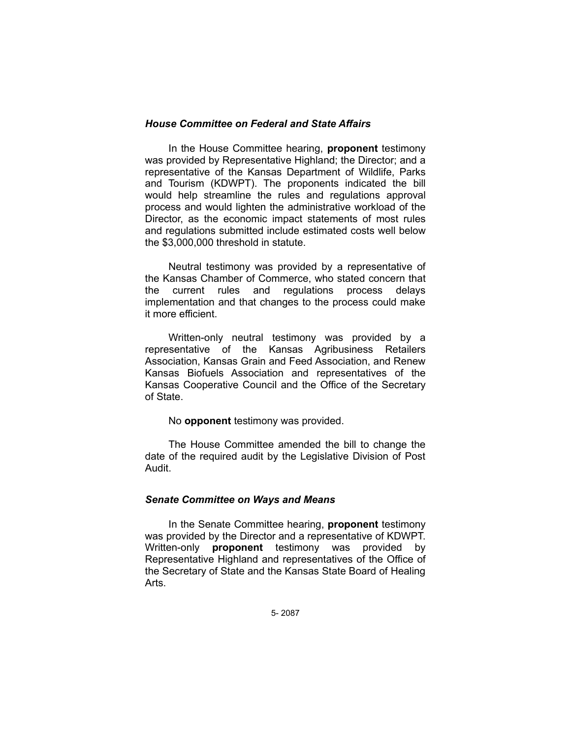## *House Committee on Federal and State Affairs*

In the House Committee hearing, **proponent** testimony was provided by Representative Highland; the Director; and a representative of the Kansas Department of Wildlife, Parks and Tourism (KDWPT). The proponents indicated the bill would help streamline the rules and regulations approval process and would lighten the administrative workload of the Director, as the economic impact statements of most rules and regulations submitted include estimated costs well below the \$3,000,000 threshold in statute.

Neutral testimony was provided by a representative of the Kansas Chamber of Commerce, who stated concern that the current rules and regulations process delays implementation and that changes to the process could make it more efficient.

Written-only neutral testimony was provided by a representative of the Kansas Agribusiness Retailers Association, Kansas Grain and Feed Association, and Renew Kansas Biofuels Association and representatives of the Kansas Cooperative Council and the Office of the Secretary of State.

### No **opponent** testimony was provided.

The House Committee amended the bill to change the date of the required audit by the Legislative Division of Post Audit.

## *Senate Committee on Ways and Means*

In the Senate Committee hearing, **proponent** testimony was provided by the Director and a representative of KDWPT. Written-only **proponent** testimony was provided by Representative Highland and representatives of the Office of the Secretary of State and the Kansas State Board of Healing Arts.

5- 2087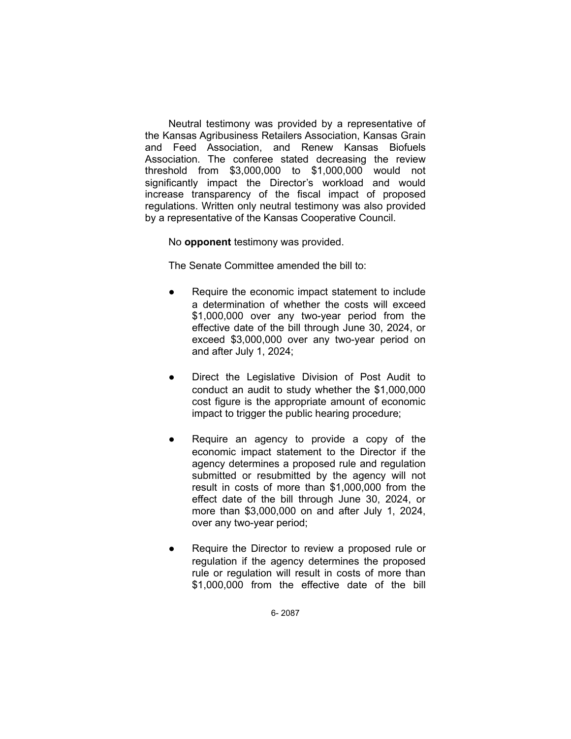Neutral testimony was provided by a representative of the Kansas Agribusiness Retailers Association, Kansas Grain and Feed Association, and Renew Kansas Biofuels Association. The conferee stated decreasing the review threshold from \$3,000,000 to \$1,000,000 would not significantly impact the Director's workload and would increase transparency of the fiscal impact of proposed regulations. Written only neutral testimony was also provided by a representative of the Kansas Cooperative Council.

No **opponent** testimony was provided.

The Senate Committee amended the bill to:

- Require the economic impact statement to include a determination of whether the costs will exceed \$1,000,000 over any two-year period from the effective date of the bill through June 30, 2024, or exceed \$3,000,000 over any two-year period on and after July 1, 2024;
- Direct the Legislative Division of Post Audit to conduct an audit to study whether the \$1,000,000 cost figure is the appropriate amount of economic impact to trigger the public hearing procedure;
- Require an agency to provide a copy of the economic impact statement to the Director if the agency determines a proposed rule and regulation submitted or resubmitted by the agency will not result in costs of more than \$1,000,000 from the effect date of the bill through June 30, 2024, or more than \$3,000,000 on and after July 1, 2024, over any two-year period;
- Require the Director to review a proposed rule or regulation if the agency determines the proposed rule or regulation will result in costs of more than \$1,000,000 from the effective date of the bill